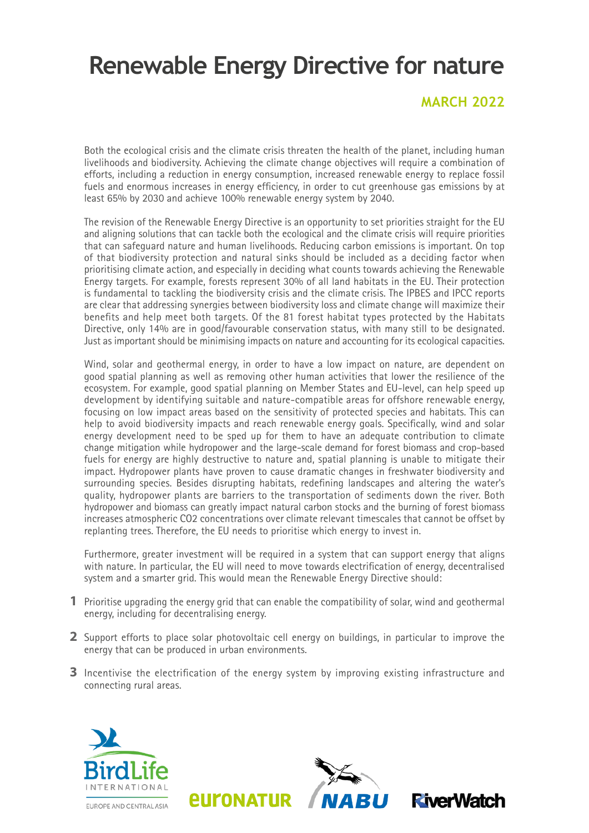# **Renewable Energy Directive for nature**

#### **MARCH 2022**

Both the ecological crisis and the climate crisis threaten the health of the planet, including human livelihoods and biodiversity. Achieving the climate change objectives will require a combination of efforts, including a reduction in energy consumption, increased renewable energy to replace fossil fuels and enormous increases in energy efficiency, in order to cut greenhouse gas emissions by at least 65% by 2030 and achieve 100% renewable energy system by 2040.

The revision of the Renewable Energy Directive is an opportunity to set priorities straight for the EU and aligning solutions that can tackle both the ecological and the climate crisis will require priorities that can safeguard nature and human livelihoods. Reducing carbon emissions is important. On top of that biodiversity protection and natural sinks should be included as a deciding factor when prioritising climate action, and especially in deciding what counts towards achieving the Renewable Energy targets. For example, forests represent 30% of all land habitats in the EU. Their protection is fundamental to tackling the biodiversity crisis and the climate crisis. The IPBES and IPCC reports are clear that addressing synergies between biodiversity loss and climate change will maximize their benefits and help meet both targets. Of the 81 forest habitat types protected by the Habitats Directive, only 14% are in good/favourable conservation status, with many still to be designated. Just as important should be minimising impacts on nature and accounting for its ecological capacities.

Wind, solar and geothermal energy, in order to have a low impact on nature, are dependent on good spatial planning as well as removing other human activities that lower the resilience of the ecosystem. For example, good spatial planning on Member States and EU-level, can help speed up development by identifying suitable and nature-compatible areas for offshore renewable energy, focusing on low impact areas based on the sensitivity of protected species and habitats. This can help to avoid biodiversity impacts and reach renewable energy goals. Specifically, wind and solar energy development need to be sped up for them to have an adequate contribution to climate change mitigation while hydropower and the large-scale demand for forest biomass and crop-based fuels for energy are highly destructive to nature and, spatial planning is unable to mitigate their impact. Hydropower plants have proven to cause dramatic changes in freshwater biodiversity and surrounding species. Besides disrupting habitats, redefining landscapes and altering the water's quality, hydropower plants are barriers to the transportation of sediments down the river. Both hydropower and biomass can greatly impact natural carbon stocks and the burning of forest biomass increases atmospheric CO2 concentrations over climate relevant timescales that cannot be offset by replanting trees. Therefore, the EU needs to prioritise which energy to invest in.

Furthermore, greater investment will be required in a system that can support energy that aligns with nature. In particular, the EU will need to move towards electrification of energy, decentralised system and a smarter grid. This would mean the Renewable Energy Directive should:

- Prioritise upgrading the energy grid that can enable the compatibility of solar, wind and geothermal **1** energy, including for decentralising energy.
- 2 Support efforts to place solar photovoltaic cell energy on buildings, in particular to improve the energy that can be produced in urban environments.
- **3** Incentivise the electrification of the energy system by improving existing infrastructure and connecting rural areas.

*<u>EULONATUR</u>*